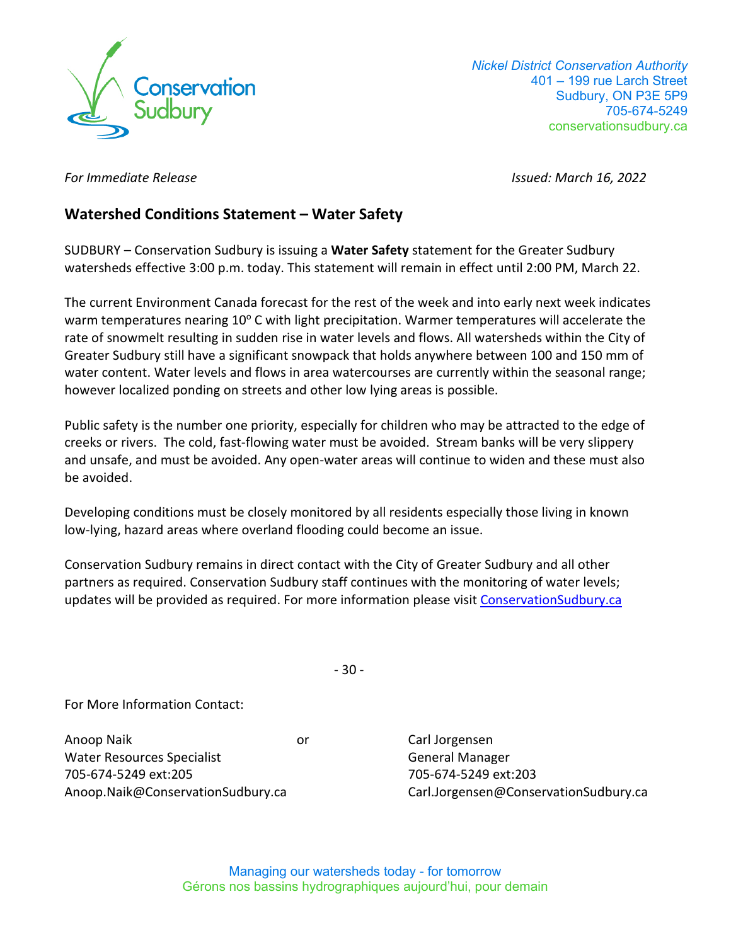

 *Nickel District Conservation Authority*  401 – 199 rue Larch Street Sudbury, ON P3E 5P9 705-674-5249 conservationsudbury.ca

*For Immediate Release Issued: March 16, 2022* 

# **Watershed Conditions Statement – Water Safety**

SUDBURY – Conservation Sudbury is issuing a **Water Safety** statement for the Greater Sudbury watersheds effective 3:00 p.m. today. This statement will remain in effect until 2:00 PM, March 22.

The current Environment Canada forecast for the rest of the week and into early next week indicates warm temperatures nearing 10° C with light precipitation. Warmer temperatures will accelerate the rate of snowmelt resulting in sudden rise in water levels and flows. All watersheds within the City of Greater Sudbury still have a significant snowpack that holds anywhere between 100 and 150 mm of water content. Water levels and flows in area watercourses are currently within the seasonal range; however localized ponding on streets and other low lying areas is possible.

Public safety is the number one priority, especially for children who may be attracted to the edge of creeks or rivers. The cold, fast-flowing water must be avoided. Stream banks will be very slippery and unsafe, and must be avoided. Any open-water areas will continue to widen and these must also be avoided.

Developing conditions must be closely monitored by all residents especially those living in known low-lying, hazard areas where overland flooding could become an issue.

Conservation Sudbury remains in direct contact with the City of Greater Sudbury and all other partners as required. Conservation Sudbury staff continues with the monitoring of water levels; updates will be provided as required. For more information please visit [ConservationSudbury.ca](https://conservationsudbury.ca/en/flood-status.html)

- 30 -

For More Information Contact:

Anoop Naik or Water Resources Specialist 705-674-5249 ext:205 Anoop.Naik@ConservationSudbury.ca

Carl Jorgensen General Manager 705-674-5249 ext:203 Carl.Jorgensen@ConservationSudbury.ca